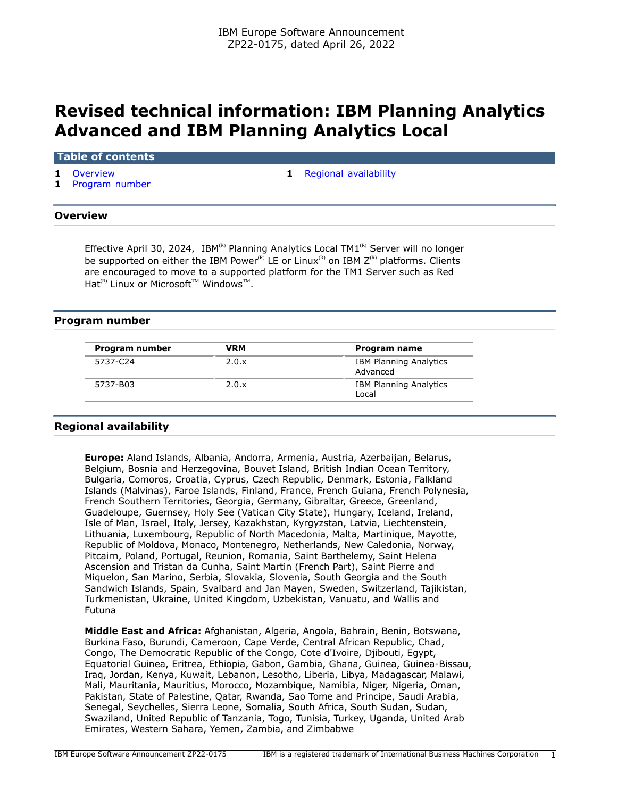# **Revised technical information: IBM Planning Analytics Advanced and IBM Planning Analytics Local**

**Table of contents**

**1** [Program number](#page-0-2)

**1** [Overview](#page-0-0) **1 1** [Regional availability](#page-0-1)

### <span id="page-0-0"></span>**Overview**

Effective April 30, 2024, IBM(R) Planning Analytics Local TM1(R) Server will no longer be supported on either the IBM Power<sup>(R)</sup> LE or Linux<sup>(R)</sup> on IBM  $Z^{(R)}$  platforms. Clients are encouraged to move to a supported platform for the TM1 Server such as Red  $\mathsf{Hat}^{\scriptscriptstyle{(\mathrm{R})}}$  Linux or Microsoft<sup>™</sup> Windows™.

## <span id="page-0-2"></span>**Program number**

| Program number | VRM   | Program name                              |
|----------------|-------|-------------------------------------------|
| 5737-C24       | 2.0.x | <b>IBM Planning Analytics</b><br>Advanced |
| 5737-B03       | 2.0.x | <b>IBM Planning Analytics</b><br>Local    |

## <span id="page-0-1"></span>**Regional availability**

**Europe:** Aland Islands, Albania, Andorra, Armenia, Austria, Azerbaijan, Belarus, Belgium, Bosnia and Herzegovina, Bouvet Island, British Indian Ocean Territory, Bulgaria, Comoros, Croatia, Cyprus, Czech Republic, Denmark, Estonia, Falkland Islands (Malvinas), Faroe Islands, Finland, France, French Guiana, French Polynesia, French Southern Territories, Georgia, Germany, Gibraltar, Greece, Greenland, Guadeloupe, Guernsey, Holy See (Vatican City State), Hungary, Iceland, Ireland, Isle of Man, Israel, Italy, Jersey, Kazakhstan, Kyrgyzstan, Latvia, Liechtenstein, Lithuania, Luxembourg, Republic of North Macedonia, Malta, Martinique, Mayotte, Republic of Moldova, Monaco, Montenegro, Netherlands, New Caledonia, Norway, Pitcairn, Poland, Portugal, Reunion, Romania, Saint Barthelemy, Saint Helena Ascension and Tristan da Cunha, Saint Martin (French Part), Saint Pierre and Miquelon, San Marino, Serbia, Slovakia, Slovenia, South Georgia and the South Sandwich Islands, Spain, Svalbard and Jan Mayen, Sweden, Switzerland, Tajikistan, Turkmenistan, Ukraine, United Kingdom, Uzbekistan, Vanuatu, and Wallis and Futuna

**Middle East and Africa:** Afghanistan, Algeria, Angola, Bahrain, Benin, Botswana, Burkina Faso, Burundi, Cameroon, Cape Verde, Central African Republic, Chad, Congo, The Democratic Republic of the Congo, Cote d'Ivoire, Djibouti, Egypt, Equatorial Guinea, Eritrea, Ethiopia, Gabon, Gambia, Ghana, Guinea, Guinea-Bissau, Iraq, Jordan, Kenya, Kuwait, Lebanon, Lesotho, Liberia, Libya, Madagascar, Malawi, Mali, Mauritania, Mauritius, Morocco, Mozambique, Namibia, Niger, Nigeria, Oman, Pakistan, State of Palestine, Qatar, Rwanda, Sao Tome and Principe, Saudi Arabia, Senegal, Seychelles, Sierra Leone, Somalia, South Africa, South Sudan, Sudan, Swaziland, United Republic of Tanzania, Togo, Tunisia, Turkey, Uganda, United Arab Emirates, Western Sahara, Yemen, Zambia, and Zimbabwe